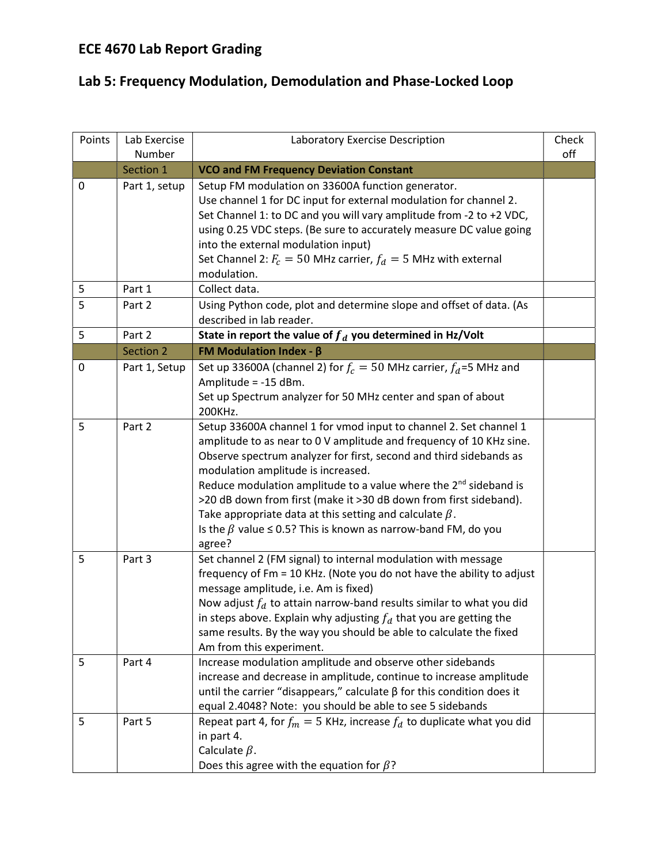## ECE 4670 Lab Report Grading

## Lab 5: Frequency Modulation, Demodulation and Phase-Locked Loop

| Points | Lab Exercise<br>Number | Laboratory Exercise Description                                                                                                                                                                                                                                                                                                                                                                                                                                                                                                                                  | Check<br>off |
|--------|------------------------|------------------------------------------------------------------------------------------------------------------------------------------------------------------------------------------------------------------------------------------------------------------------------------------------------------------------------------------------------------------------------------------------------------------------------------------------------------------------------------------------------------------------------------------------------------------|--------------|
|        | Section 1              | <b>VCO and FM Frequency Deviation Constant</b>                                                                                                                                                                                                                                                                                                                                                                                                                                                                                                                   |              |
| 0      | Part 1, setup          | Setup FM modulation on 33600A function generator.<br>Use channel 1 for DC input for external modulation for channel 2.<br>Set Channel 1: to DC and you will vary amplitude from -2 to +2 VDC,<br>using 0.25 VDC steps. (Be sure to accurately measure DC value going<br>into the external modulation input)<br>Set Channel 2: $F_c = 50$ MHz carrier, $f_d = 5$ MHz with external<br>modulation.                                                                                                                                                                 |              |
| 5      | Part 1                 | Collect data.                                                                                                                                                                                                                                                                                                                                                                                                                                                                                                                                                    |              |
| 5      | Part 2                 | Using Python code, plot and determine slope and offset of data. (As<br>described in lab reader.                                                                                                                                                                                                                                                                                                                                                                                                                                                                  |              |
| 5      | Part 2                 | State in report the value of $f_d$ you determined in Hz/Volt                                                                                                                                                                                                                                                                                                                                                                                                                                                                                                     |              |
|        | Section 2              | <b>FM Modulation Index - <math>\beta</math></b>                                                                                                                                                                                                                                                                                                                                                                                                                                                                                                                  |              |
| 0      | Part 1, Setup          | Set up 33600A (channel 2) for $f_c = 50$ MHz carrier, $f_d = 5$ MHz and<br>Amplitude = -15 dBm.<br>Set up Spectrum analyzer for 50 MHz center and span of about<br>200KHz.                                                                                                                                                                                                                                                                                                                                                                                       |              |
| 5      | Part 2                 | Setup 33600A channel 1 for vmod input to channel 2. Set channel 1<br>amplitude to as near to 0 V amplitude and frequency of 10 KHz sine.<br>Observe spectrum analyzer for first, second and third sidebands as<br>modulation amplitude is increased.<br>Reduce modulation amplitude to a value where the 2 <sup>nd</sup> sideband is<br>>20 dB down from first (make it >30 dB down from first sideband).<br>Take appropriate data at this setting and calculate $\beta$ .<br>Is the $\beta$ value $\leq$ 0.5? This is known as narrow-band FM, do you<br>agree? |              |
| 5      | Part 3                 | Set channel 2 (FM signal) to internal modulation with message<br>frequency of Fm = 10 KHz. (Note you do not have the ability to adjust<br>message amplitude, i.e. Am is fixed)<br>Now adjust $f_d$ to attain narrow-band results similar to what you did<br>in steps above. Explain why adjusting $f_d$ that you are getting the<br>same results. By the way you should be able to calculate the fixed<br>Am from this experiment.                                                                                                                               |              |
| 5      | Part 4                 | Increase modulation amplitude and observe other sidebands<br>increase and decrease in amplitude, continue to increase amplitude<br>until the carrier "disappears," calculate $\beta$ for this condition does it<br>equal 2.4048? Note: you should be able to see 5 sidebands                                                                                                                                                                                                                                                                                     |              |
| 5      | Part 5                 | Repeat part 4, for $f_m = 5$ KHz, increase $f_d$ to duplicate what you did<br>in part 4.<br>Calculate $\beta$ .<br>Does this agree with the equation for $\beta$ ?                                                                                                                                                                                                                                                                                                                                                                                               |              |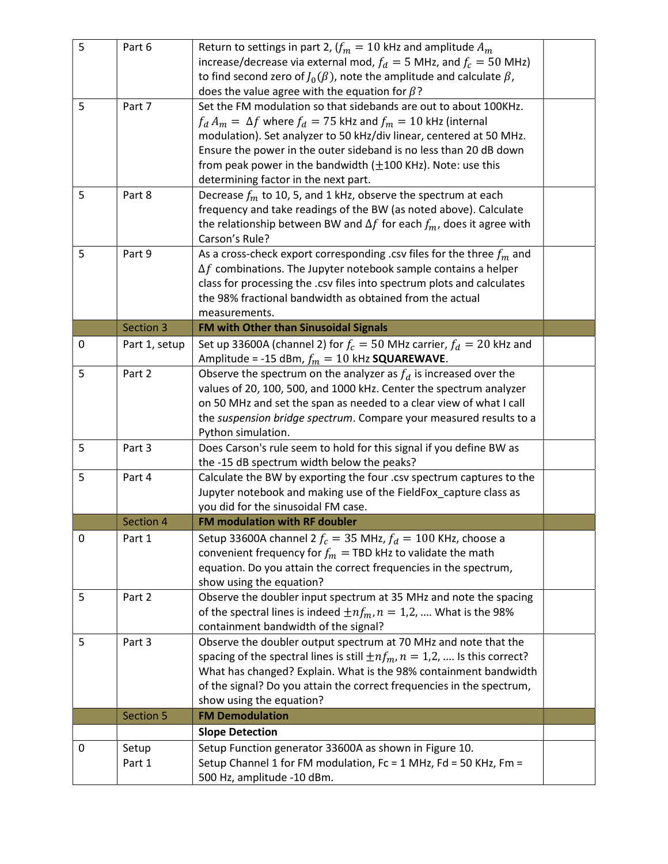| 5 | Part 6          | Return to settings in part 2, $(f_m = 10 \text{ kHz}$ and amplitude $A_m$<br>increase/decrease via external mod, $f_d = 5$ MHz, and $f_c = 50$ MHz)<br>to find second zero of $J_0(\beta)$ , note the amplitude and calculate $\beta$ ,<br>does the value agree with the equation for $\beta$ ?                                                                                                    |  |
|---|-----------------|----------------------------------------------------------------------------------------------------------------------------------------------------------------------------------------------------------------------------------------------------------------------------------------------------------------------------------------------------------------------------------------------------|--|
| 5 | Part 7          | Set the FM modulation so that sidebands are out to about 100KHz.<br>$f_d A_m = \Delta f$ where $f_d = 75$ kHz and $f_m = 10$ kHz (internal<br>modulation). Set analyzer to 50 kHz/div linear, centered at 50 MHz.<br>Ensure the power in the outer sideband is no less than 20 dB down<br>from peak power in the bandwidth $(\pm 100$ KHz). Note: use this<br>determining factor in the next part. |  |
| 5 | Part 8          | Decrease $f_m$ to 10, 5, and 1 kHz, observe the spectrum at each<br>frequency and take readings of the BW (as noted above). Calculate<br>the relationship between BW and $\Delta f$ for each $f_m$ , does it agree with<br>Carson's Rule?                                                                                                                                                          |  |
| 5 | Part 9          | As a cross-check export corresponding .csv files for the three $f_m$ and<br>$\Delta f$ combinations. The Jupyter notebook sample contains a helper<br>class for processing the .csv files into spectrum plots and calculates<br>the 98% fractional bandwidth as obtained from the actual<br>measurements.                                                                                          |  |
|   | Section 3       | FM with Other than Sinusoidal Signals                                                                                                                                                                                                                                                                                                                                                              |  |
| 0 | Part 1, setup   | Set up 33600A (channel 2) for $f_c = 50$ MHz carrier, $f_d = 20$ kHz and<br>Amplitude = -15 dBm, $f_m = 10$ kHz <b>SQUAREWAVE</b> .                                                                                                                                                                                                                                                                |  |
| 5 | Part 2          | Observe the spectrum on the analyzer as $f_d$ is increased over the<br>values of 20, 100, 500, and 1000 kHz. Center the spectrum analyzer<br>on 50 MHz and set the span as needed to a clear view of what I call<br>the suspension bridge spectrum. Compare your measured results to a<br>Python simulation.                                                                                       |  |
| 5 | Part 3          | Does Carson's rule seem to hold for this signal if you define BW as<br>the -15 dB spectrum width below the peaks?                                                                                                                                                                                                                                                                                  |  |
| 5 | Part 4          | Calculate the BW by exporting the four .csv spectrum captures to the<br>Jupyter notebook and making use of the FieldFox_capture class as<br>you did for the sinusoidal FM case.                                                                                                                                                                                                                    |  |
|   | Section 4       | FM modulation with RF doubler                                                                                                                                                                                                                                                                                                                                                                      |  |
| 0 | Part 1          | Setup 33600A channel 2 $f_c = 35$ MHz, $f_d = 100$ KHz, choose a<br>convenient frequency for $f_m$ = TBD kHz to validate the math<br>equation. Do you attain the correct frequencies in the spectrum,<br>show using the equation?                                                                                                                                                                  |  |
| 5 | Part 2          | Observe the doubler input spectrum at 35 MHz and note the spacing<br>of the spectral lines is indeed $\pm nf_m$ , $n = 1,2, $ What is the 98%<br>containment bandwidth of the signal?                                                                                                                                                                                                              |  |
| 5 | Part 3          | Observe the doubler output spectrum at 70 MHz and note that the<br>spacing of the spectral lines is still $\pm nf_m$ , $n = 1,2,$ Is this correct?<br>What has changed? Explain. What is the 98% containment bandwidth<br>of the signal? Do you attain the correct frequencies in the spectrum,<br>show using the equation?                                                                        |  |
|   | Section 5       | <b>FM Demodulation</b>                                                                                                                                                                                                                                                                                                                                                                             |  |
|   |                 | <b>Slope Detection</b>                                                                                                                                                                                                                                                                                                                                                                             |  |
| 0 | Setup<br>Part 1 | Setup Function generator 33600A as shown in Figure 10.<br>Setup Channel 1 for FM modulation, Fc = 1 MHz, Fd = 50 KHz, Fm =<br>500 Hz, amplitude -10 dBm.                                                                                                                                                                                                                                           |  |